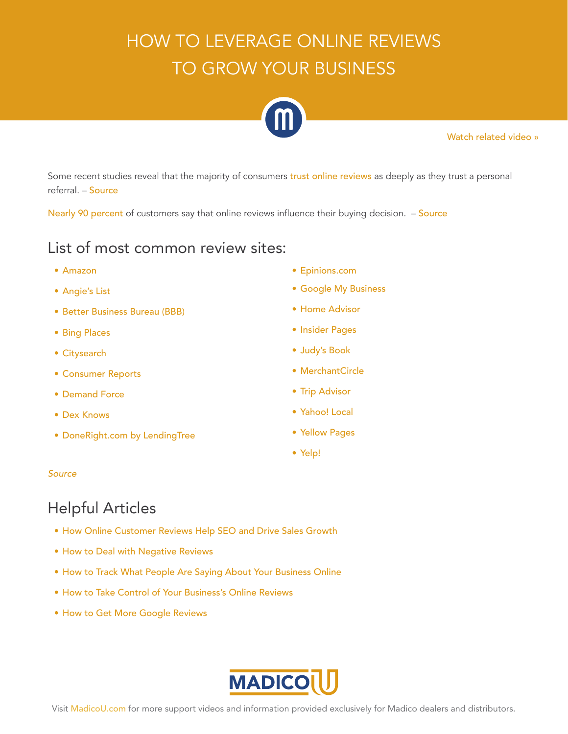# HOW TO LEVERAGE ONLINE REVIEWS TO GROW YOUR BUSINESS



[Watch related video »](https://www.youtube.com/watch?v=iWhuOKIEEQ0&feature=youtu.be)

Some recent studies reveal that the majority of consumers [trust online reviews](https://searchengineland.com/88-consumers-trust-online-reviews-much-personal-recommendations-195803) as deeply as they trust a personal referral. – [Source](https://searchengineland.com/88-consumers-trust-online-reviews-much-personal-recommendations-195803)

[Nearly 90 percent](https://www.entrepreneur.com/article/248176) of customers say that online reviews influence their buying decision. - [Source](https://www.entrepreneur.com/article/248176)

#### List of most common review sites:

- [Amazon](https://www.amazon.com/)
- [Angie's List](https://www.angieslist.com/)
- [Better Business Bureau \(BBB\)](https://www.bbb.org/)
- [Bing Places](https://www.bingplaces.com/)
- [Citysearch](http://www.citysearch.com/guide/tampa-fl)
- [Consumer Reports](https://www.consumerreports.org/cro/index.htm)
- [Demand Force](https://www.demandforce.com/product/online-reputation-management/)
- [Dex Knows](https://www.dexknows.com/)
- [DoneRight.com by LendingTree](https://www.homepros.lendingtree.com/)
- [Epinions.com](http://www.epinions.com/)
- [Google My Business](https://www.google.com/business/?gmbsrc=us-en-et-gs-z-gmb-l-z-h~pl|redirect|u&ppsrc=GMBLR&utm_campaign=us-en-et-gs-z-gmb-l-z-h~pl|redirect|u&utm_source=gmb&utm_medium=et&dialog=places-transition)
- [Home Advisor](https://www.homeadvisor.com/)
- [Insider Pages](http://www.insiderpages.com/)
- [Judy's Book](https://www.judysbook.com/)
- [MerchantCircle](https://www.merchantcircle.com/)
- [Trip Advisor](https://www.tripadvisor.com/)
- [Yahoo! Local](https://search.yahoo.com/?fr=local_lyc_syc_rd)
- [Yellow Pages](https://www.yellowpages.com/)
- [Yelp!](https://www.yelp.com/)

#### *[Source](https://aspireinternetdesign.com/integrated-emarketing/popular-review-sites/)*

### Helpful Articles

- [How Online Customer Reviews Help SEO and Drive Sales Growth](https://www.entrepreneur.com/article/248176)
- [How to Deal with Negative Reviews](https://www.business2community.com/public-relations/deal-negative-reviews-2-01888351#kkrbCskRwLE9hHof.97)
- [How to Track What People Are Saying About Your Business Online](https://www.verticalresponse.com/blog/how-to-track-your-company-and-what-people-are-saying/)
- [How to Take Control of Your Business's Online Reviews](https://www.businessnewsdaily.com/10118-online-customer-review-basics.html)
- [How to Get More Google Reviews](https://peakwebsites.ca/blog/get-more-google-reviews/)